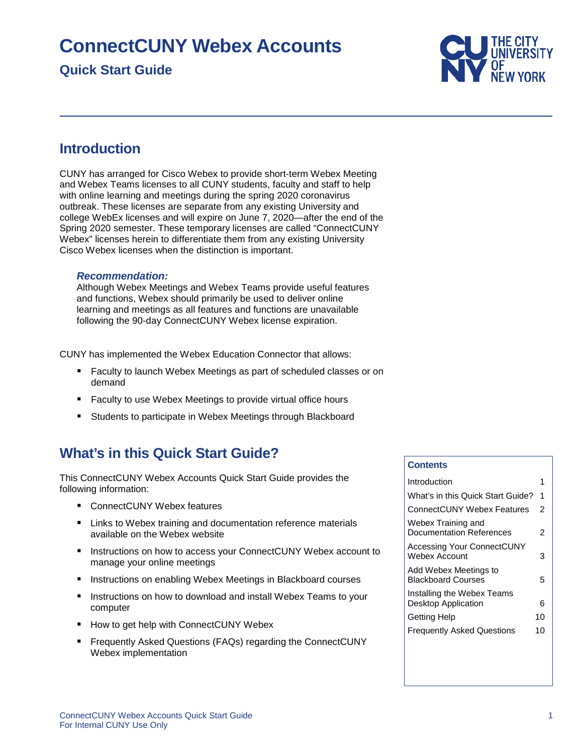# **ConnectCUNY Webex Accounts**

# **Quick Start Guide**



# <span id="page-0-0"></span>**Introduction**

CUNY has arranged for Cisco Webex to provide short-term Webex Meeting and Webex Teams licenses to all CUNY students, faculty and staff to help with online learning and meetings during the spring 2020 coronavirus outbreak. These licenses are separate from any existing University and college WebEx licenses and will expire on June 7, 2020—after the end of the Spring 2020 semester. These temporary licenses are called "ConnectCUNY Webex" licenses herein to differentiate them from any existing University Cisco Webex licenses when the distinction is important.

### *Recommendation:*

Although Webex Meetings and Webex Teams provide useful features and functions, Webex should primarily be used to deliver online learning and meetings as all features and functions are unavailable following the 90-day ConnectCUNY Webex license expiration.

CUNY has implemented the Webex Education Connector that allows:

- **Faculty to launch Webex Meetings as part of scheduled classes or on** demand
- Faculty to use Webex Meetings to provide virtual office hours
- <span id="page-0-1"></span>Students to participate in Webex Meetings through Blackboard

# **What's in this Quick Start Guide?**

This ConnectCUNY Webex Accounts Quick Start Guide provides the following information:

- ConnectCUNY Webex features
- **E** Links to Webex training and documentation reference materials available on the Webex website
- Instructions on how to access your ConnectCUNY Webex account to manage your online meetings
- Instructions on enabling Webex Meetings in Blackboard courses
- Instructions on how to download and install Webex Teams to your computer
- How to get help with ConnectCUNY Webex
- **F** Frequently Asked Questions (FAQs) regarding the ConnectCUNY Webex implementation

#### **Contents**

| Introduction                                             |    |
|----------------------------------------------------------|----|
| What's in this Quick Start Guide?                        | 1  |
| ConnectCUNY Webex Features                               | 2  |
| Webex Training and<br>Documentation References           | 2  |
| Accessing Your ConnectCUNY<br>Webex Account              | з  |
| Add Webex Meetings to<br><b>Blackboard Courses</b>       | 5  |
| Installing the Webex Teams<br><b>Desktop Application</b> | 6  |
| <b>Getting Help</b>                                      | 10 |
| <b>Frequently Asked Questions</b>                        | 10 |
|                                                          |    |
|                                                          |    |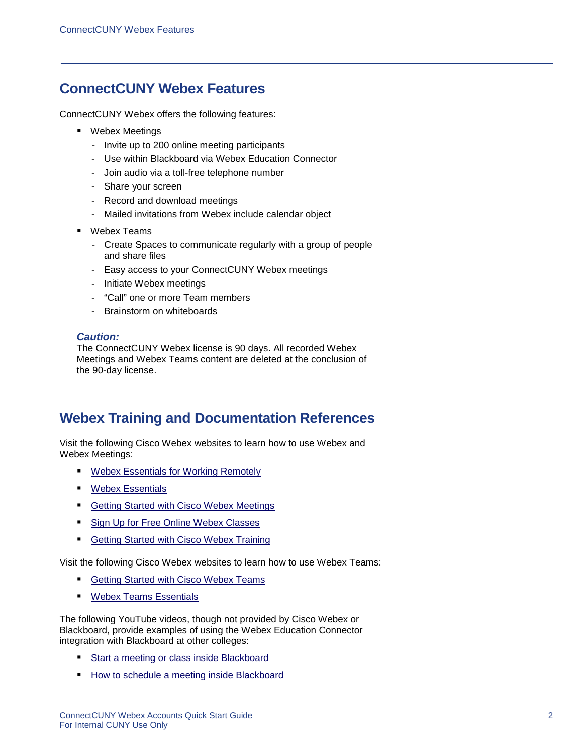# <span id="page-1-0"></span>**ConnectCUNY Webex Features**

ConnectCUNY Webex offers the following features:

- Webex Meetings
	- Invite up to 200 online meeting participants
	- Use within Blackboard via Webex Education Connector
	- Join audio via a toll-free telephone number
	- Share your screen
	- Record and download meetings
	- Mailed invitations from Webex include calendar object
- Webex Teams
	- Create Spaces to communicate regularly with a group of people and share files
	- Easy access to your ConnectCUNY Webex meetings
	- Initiate Webex meetings
	- "Call" one or more Team members
	- Brainstorm on whiteboards

### *Caution:*

The ConnectCUNY Webex license is 90 days. All recorded Webex Meetings and Webex Teams content are deleted at the conclusion of the 90-day license.

# <span id="page-1-1"></span>**Webex Training and Documentation References**

Visit the following Cisco Webex websites to learn how to use Webex and Webex Meetings:

- **[Webex Essentials for Working Remotely](https://www.webex.com/webexremoteessentials.html)**
- **[Webex Essentials](https://ebooks.cisco.com/story/webexessentials/page/1)**
- [Getting Started with Cisco Webex Meetings](https://help.webex.com/ld-nyw95a4-CiscoWebexMeetings/Webex-Meetings#Get-Started)
- [Sign Up for Free Online Webex Classes](https://help.webex.com/landing/onlineclasses/upcomingClass/Webex-Teams#Overview-of-Webex-Teams)
- [Getting Started with Cisco Webex Training](https://help.webex.com/en-us/xqsxxt/Get-Started-with-Cisco-Webex-Training)

Visit the following Cisco Webex websites to learn how to use Webex Teams:

- [Getting Started with Cisco Webex Teams](https://help.webex.com/result/getting%20started%20with%20webex%20teams/%5B%5D?offset=10&order=Relevance)
- [Webex Teams Essentials](https://ebooks.cisco.com/story/webexteamsessentials/)

The following YouTube videos, though not provided by Cisco Webex or Blackboard, provide examples of using the Webex Education Connector integration with Blackboard at other colleges:

- [Start a meeting or class inside Blackboard](https://www.youtube.com/watch?v=HIHJCVnPJHA)
- [How to schedule a meeting inside Blackboard](https://www.youtube.com/watch?v=WJhj4Ktor4Q)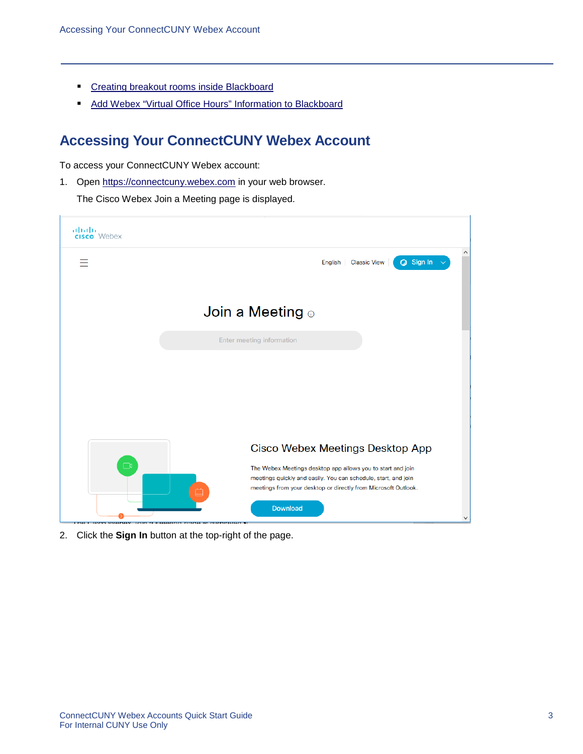- **[Creating breakout rooms inside Blackboard](https://www.youtube.com/watch?v=3ZCcB1YOzFQ)**
- <span id="page-2-0"></span>[Add Webex "Virtual Office Hours" Information to Blackboard](https://www.youtube.com/watch?v=zCGGlR8mwFI)

# **Accessing Your ConnectCUNY Webex Account**

To access your ConnectCUNY Webex account:

1. Open [https://connectcuny.webex.com](https://connectcuny.webex.com/) in your web browser.

The Cisco Webex Join a Meeting page is displayed.



2. Click the **Sign In** button at the top-right of the page.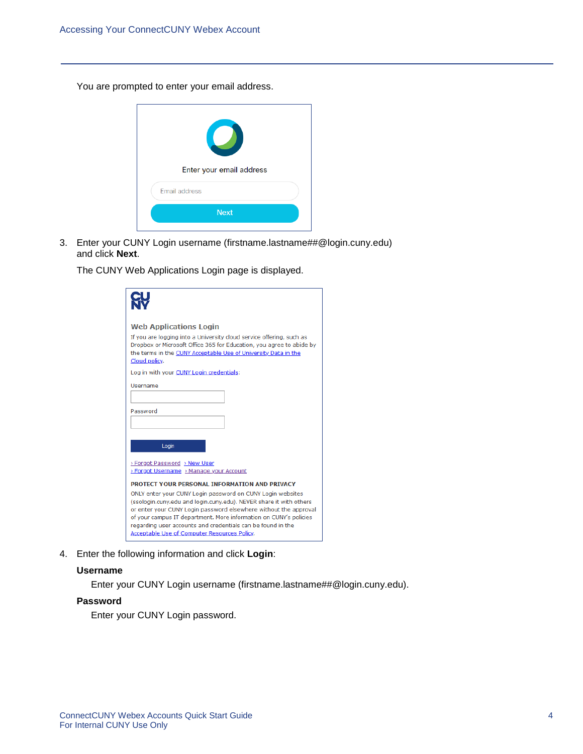You are prompted to enter your email address.



3. Enter your CUNY Login username (firstname.lastname##@login.cuny.edu) and click **Next**.

The CUNY Web Applications Login page is displayed.

| <b>Web Applications Login</b>                                                                                                                                                                                                                                                                                              |  |  |  |  |  |
|----------------------------------------------------------------------------------------------------------------------------------------------------------------------------------------------------------------------------------------------------------------------------------------------------------------------------|--|--|--|--|--|
| If you are logging into a University cloud service offering, such as<br>Dropbox or Microsoft Office 365 for Education, you agree to abide by<br>the terms in the CUNY Acceptable Use of University Data in the<br>Cloud policy.                                                                                            |  |  |  |  |  |
| Log in with your CUNY Login credentials:                                                                                                                                                                                                                                                                                   |  |  |  |  |  |
| Username                                                                                                                                                                                                                                                                                                                   |  |  |  |  |  |
|                                                                                                                                                                                                                                                                                                                            |  |  |  |  |  |
| Password                                                                                                                                                                                                                                                                                                                   |  |  |  |  |  |
|                                                                                                                                                                                                                                                                                                                            |  |  |  |  |  |
|                                                                                                                                                                                                                                                                                                                            |  |  |  |  |  |
| Login                                                                                                                                                                                                                                                                                                                      |  |  |  |  |  |
| > Forgot Password > New User                                                                                                                                                                                                                                                                                               |  |  |  |  |  |
| > Forgot Username > Manage your Account                                                                                                                                                                                                                                                                                    |  |  |  |  |  |
| PROTECT YOUR PERSONAL INFORMATION AND PRIVACY                                                                                                                                                                                                                                                                              |  |  |  |  |  |
| ONLY enter your CUNY Login password on CUNY Login websites                                                                                                                                                                                                                                                                 |  |  |  |  |  |
| (ssologin.cuny.edu and login.cuny.edu). NEVER share it with others<br>or enter your CUNY Login password elsewhere without the approval<br>of your campus IT department. More information on CUNY's policies<br>regarding user accounts and credentials can be found in the<br>Acceptable Use of Computer Resources Policy. |  |  |  |  |  |
|                                                                                                                                                                                                                                                                                                                            |  |  |  |  |  |

4. Enter the following information and click **Login**:

### **Username**

Enter your CUNY Login username (firstname.lastname##@login.cuny.edu).

### **Password**

Enter your CUNY Login password.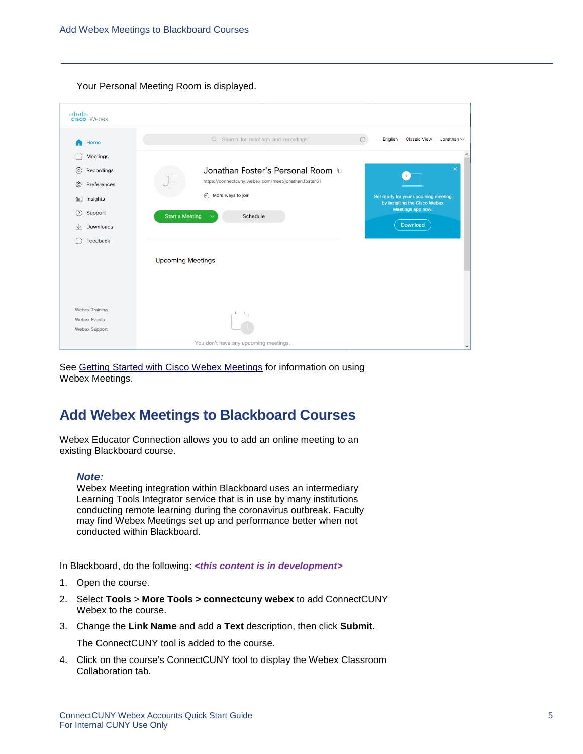Your Personal Meeting Room is displayed.

| Q Search for meetings and recordings<br><b>Classic View</b><br>English<br>$\bigcirc$<br>Home<br><b>Meetings</b><br>Jonathan Foster's Personal Room <sup>n</sup><br>⊚<br>Recordings<br>$\Box$<br>https://connectcuny.webex.com/meet/jonathan.foster61<br>ෑරි}<br>Preferences<br>$\odot$ More ways to join<br>Get ready for your upcoming meeting<br><b>Dol</b><br>Insights<br>by installing the Cisco Webex<br>Meetings app now.<br>෬<br>Support<br><b>Start a Meeting</b><br>Schedule<br>$\checkmark$<br>Download<br><b>Downloads</b><br>↓<br>Feedback |                 |
|--------------------------------------------------------------------------------------------------------------------------------------------------------------------------------------------------------------------------------------------------------------------------------------------------------------------------------------------------------------------------------------------------------------------------------------------------------------------------------------------------------------------------------------------------------|-----------------|
|                                                                                                                                                                                                                                                                                                                                                                                                                                                                                                                                                        | Jonathan $\vee$ |
|                                                                                                                                                                                                                                                                                                                                                                                                                                                                                                                                                        | $\wedge$        |
|                                                                                                                                                                                                                                                                                                                                                                                                                                                                                                                                                        |                 |
|                                                                                                                                                                                                                                                                                                                                                                                                                                                                                                                                                        |                 |
|                                                                                                                                                                                                                                                                                                                                                                                                                                                                                                                                                        |                 |
|                                                                                                                                                                                                                                                                                                                                                                                                                                                                                                                                                        |                 |
|                                                                                                                                                                                                                                                                                                                                                                                                                                                                                                                                                        |                 |
|                                                                                                                                                                                                                                                                                                                                                                                                                                                                                                                                                        |                 |
| <b>Upcoming Meetings</b>                                                                                                                                                                                                                                                                                                                                                                                                                                                                                                                               |                 |
|                                                                                                                                                                                                                                                                                                                                                                                                                                                                                                                                                        |                 |
| <b>Webex Training</b>                                                                                                                                                                                                                                                                                                                                                                                                                                                                                                                                  |                 |
| <b>Webex Events</b><br><b>Webex Support</b>                                                                                                                                                                                                                                                                                                                                                                                                                                                                                                            |                 |
| You don't have any upcoming meetings.                                                                                                                                                                                                                                                                                                                                                                                                                                                                                                                  |                 |

<span id="page-4-0"></span>See [Getting Started with Cisco Webex Meetings](https://help.webex.com/ld-nyw95a4-CiscoWebexMeetings/Webex-Meetings#Get-Started) for information on using Webex Meetings.

## **Add Webex Meetings to Blackboard Courses**

Webex Educator Connection allows you to add an online meeting to an existing Blackboard course.

#### *Note:*

Webex Meeting integration within Blackboard uses an intermediary Learning Tools Integrator service that is in use by many institutions conducting remote learning during the coronavirus outbreak. Faculty may find Webex Meetings set up and performance better when not conducted within Blackboard.

In Blackboard, do the following: *<this content is in development>*

- 1. Open the course.
- 2. Select **Tools** > **More Tools > connectcuny webex** to add ConnectCUNY Webex to the course.
- 3. Change the **Link Name** and add a **Text** description, then click **Submit**.

The ConnectCUNY tool is added to the course.

4. Click on the course's ConnectCUNY tool to display the Webex Classroom Collaboration tab.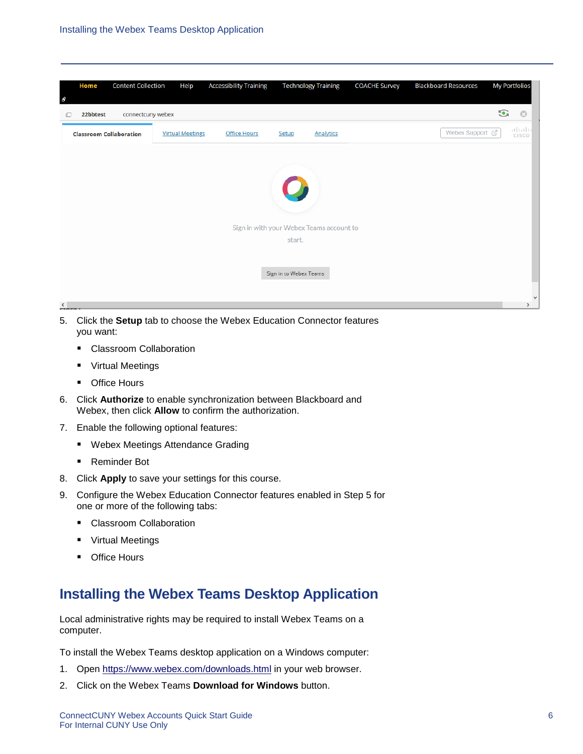| <b>Content Collection</b><br>Home<br>$\theta$ | Help                    | <b>Accessibility Training</b> |                                          | <b>Technology Training</b> | <b>COACHE Survey</b> | <b>Blackboard Resources</b> |         | <b>My Portfolios</b> |
|-----------------------------------------------|-------------------------|-------------------------------|------------------------------------------|----------------------------|----------------------|-----------------------------|---------|----------------------|
| 22bbtest<br>connectcuny webex<br>o            |                         |                               |                                          |                            |                      |                             | $\odot$ | $\odot$              |
| <b>Classroom Collaboration</b>                | <b>Virtual Meetings</b> | <b>Office Hours</b>           | Setup                                    | Analytics                  |                      | Webex Support [7]           |         | alada<br>Cisco       |
|                                               |                         |                               |                                          |                            |                      |                             |         |                      |
|                                               |                         |                               |                                          |                            |                      |                             |         |                      |
|                                               |                         |                               |                                          |                            |                      |                             |         |                      |
|                                               |                         |                               |                                          |                            |                      |                             |         |                      |
|                                               |                         |                               | Sign in with your Webex Teams account to |                            |                      |                             |         |                      |
|                                               |                         |                               | start.                                   |                            |                      |                             |         |                      |
|                                               |                         |                               |                                          |                            |                      |                             |         |                      |
|                                               |                         |                               | Sign in to Webex Teams                   |                            |                      |                             |         |                      |
|                                               |                         |                               |                                          |                            |                      |                             |         | $\checkmark$         |
| $\triangleleft$<br><b>CTAPA</b>               |                         |                               |                                          |                            |                      |                             |         | $\rightarrow$        |

- 5. Click the **Setup** tab to choose the Webex Education Connector features you want:
	- **Classroom Collaboration**
	- **•** Virtual Meetings
	- Office Hours
- 6. Click **Authorize** to enable synchronization between Blackboard and Webex, then click **Allow** to confirm the authorization.
- 7. Enable the following optional features:
	- **Webex Meetings Attendance Grading**
	- Reminder Bot
- 8. Click **Apply** to save your settings for this course.
- 9. Configure the Webex Education Connector features enabled in Step 5 for one or more of the following tabs:
	- Classroom Collaboration
	- **•** Virtual Meetings
	- Office Hours

# <span id="page-5-0"></span>**Installing the Webex Teams Desktop Application**

Local administrative rights may be required to install Webex Teams on a computer.

To install the Webex Teams desktop application on a Windows computer:

- 1. Open<https://www.webex.com/downloads.html> in your web browser.
- 2. Click on the Webex Teams **Download for Windows** button.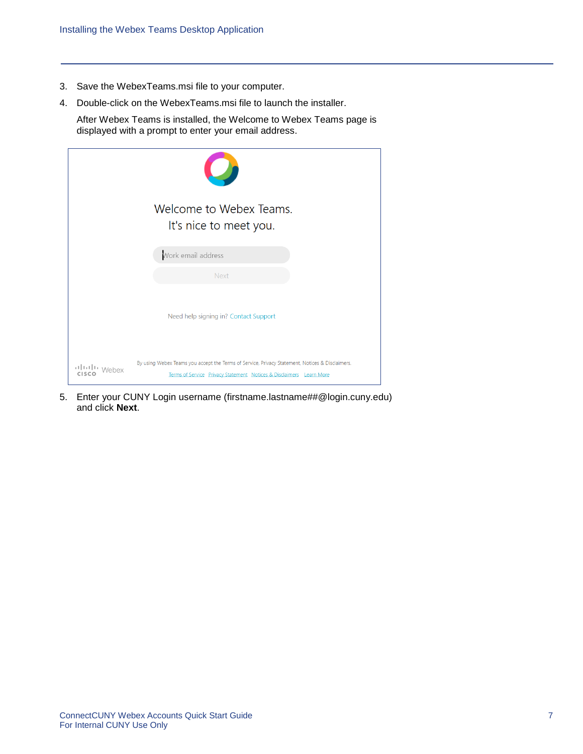- 3. Save the WebexTeams.msi file to your computer.
- 4. Double-click on the WebexTeams.msi file to launch the installer.

After Webex Teams is installed, the Welcome to Webex Teams page is displayed with a prompt to enter your email address.

|               | Welcome to Webex Teams.<br>It's nice to meet you.                                                                                                                      |
|---------------|------------------------------------------------------------------------------------------------------------------------------------------------------------------------|
|               | Work email address                                                                                                                                                     |
|               | <b>Next</b>                                                                                                                                                            |
|               | Need help signing in? Contact Support                                                                                                                                  |
| Illilli Webex | By using Webex Teams you accept the Terms of Service, Privacy Statement, Notices & Disclaimers.<br>Terms of Service Privacy Statement Notices & Disclaimers Learn More |

5. Enter your CUNY Login username (firstname.lastname##@login.cuny.edu) and click **Next**.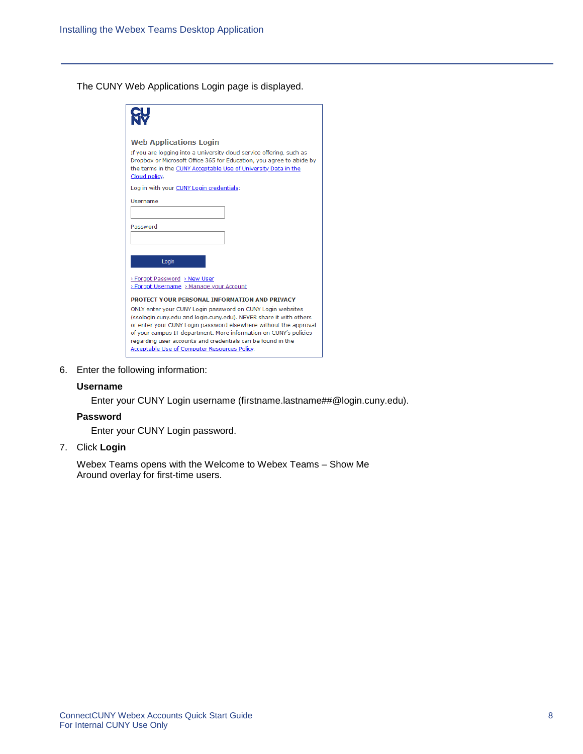The CUNY Web Applications Login page is displayed.

| <b>Web Applications Login</b>                                                                                                          |  |  |  |  |  |
|----------------------------------------------------------------------------------------------------------------------------------------|--|--|--|--|--|
| If you are logging into a University cloud service offering, such as                                                                   |  |  |  |  |  |
| Dropbox or Microsoft Office 365 for Education, you agree to abide by<br>the terms in the CUNY Acceptable Use of University Data in the |  |  |  |  |  |
| Cloud policy.                                                                                                                          |  |  |  |  |  |
| Log in with your CUNY Login credentials:                                                                                               |  |  |  |  |  |
| Username                                                                                                                               |  |  |  |  |  |
|                                                                                                                                        |  |  |  |  |  |
| Password                                                                                                                               |  |  |  |  |  |
|                                                                                                                                        |  |  |  |  |  |
|                                                                                                                                        |  |  |  |  |  |
| Login                                                                                                                                  |  |  |  |  |  |
| > Forgot Password > New User                                                                                                           |  |  |  |  |  |
| > Forgot Username > Manage your Account                                                                                                |  |  |  |  |  |
| PROTECT YOUR PERSONAL INFORMATION AND PRIVACY                                                                                          |  |  |  |  |  |
| ONLY enter your CUNY Login password on CUNY Login websites                                                                             |  |  |  |  |  |
| (ssologin.cuny.edu and login.cuny.edu). NEVER share it with others<br>or enter your CUNY Login password elsewhere without the approval |  |  |  |  |  |
| of your campus IT department. More information on CUNY's policies                                                                      |  |  |  |  |  |
| regarding user accounts and credentials can be found in the                                                                            |  |  |  |  |  |
| Acceptable Use of Computer Resources Policy.                                                                                           |  |  |  |  |  |

6. Enter the following information:

#### **Username**

Enter your CUNY Login username (firstname.lastname##@login.cuny.edu).

### **Password**

Enter your CUNY Login password.

7. Click **Login**

Webex Teams opens with the Welcome to Webex Teams – Show Me Around overlay for first-time users.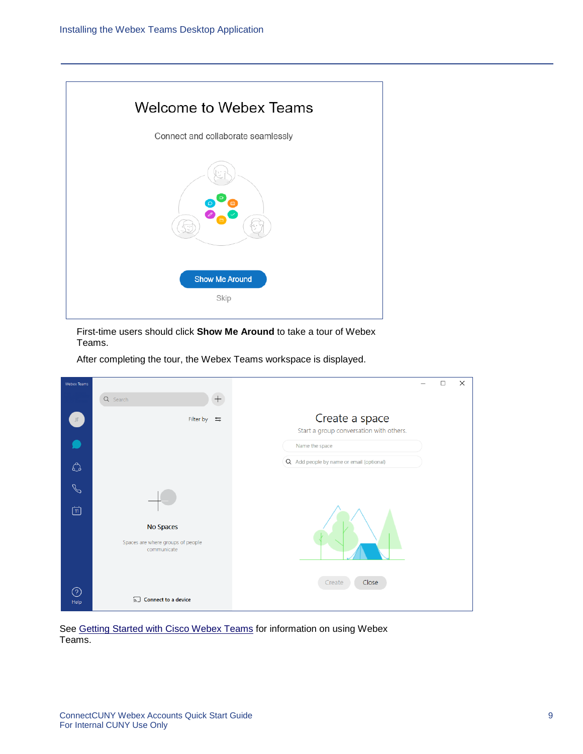

First-time users should click **Show Me Around** to take a tour of Webex Teams.

After completing the tour, the Webex Teams workspace is displayed.

| <b>Webex Teams</b> |                                                               |                                                           | □ | $\times$ |
|--------------------|---------------------------------------------------------------|-----------------------------------------------------------|---|----------|
|                    | $+ \nonumber$<br>Q Search                                     |                                                           |   |          |
| JF.                | Filter by $\equiv$                                            | Create a space<br>Start a group conversation with others. |   |          |
|                    |                                                               | Name the space                                            |   |          |
| $\mathbb{O}$       |                                                               | Q Add people by name or email (optional)                  |   |          |
| $\mathcal{S}$      |                                                               |                                                           |   |          |
| 回                  |                                                               |                                                           |   |          |
|                    | No Spaces<br>Spaces are where groups of people<br>communicate |                                                           |   |          |
|                    |                                                               | Close<br>Create                                           |   |          |
| $\odot$<br>Help    | 5 Connect to a device                                         |                                                           |   |          |

See [Getting Started with Cisco Webex Teams](https://help.webex.com/result/getting%20started%20with%20webex%20teams/%5B%5D?offset=10&order=Relevance) for information on using Webex Teams.